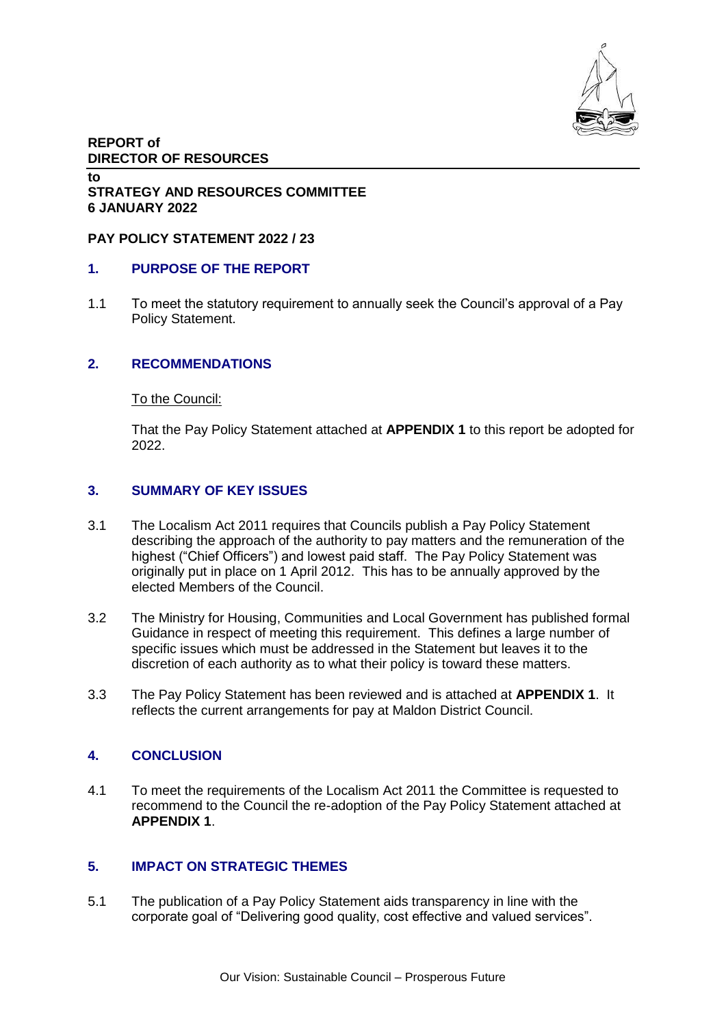

### **REPORT of DIRECTOR OF RESOURCES**

#### **to STRATEGY AND RESOURCES COMMITTEE 6 JANUARY 2022**

#### **PAY POLICY STATEMENT 2022 / 23**

### **1. PURPOSE OF THE REPORT**

1.1 To meet the statutory requirement to annually seek the Council's approval of a Pay Policy Statement.

## **2. RECOMMENDATIONS**

#### To the Council:

That the Pay Policy Statement attached at **APPENDIX 1** to this report be adopted for 2022.

### **3. SUMMARY OF KEY ISSUES**

- 3.1 The Localism Act 2011 requires that Councils publish a Pay Policy Statement describing the approach of the authority to pay matters and the remuneration of the highest ("Chief Officers") and lowest paid staff. The Pay Policy Statement was originally put in place on 1 April 2012. This has to be annually approved by the elected Members of the Council.
- 3.2 The Ministry for Housing, Communities and Local Government has published formal Guidance in respect of meeting this requirement. This defines a large number of specific issues which must be addressed in the Statement but leaves it to the discretion of each authority as to what their policy is toward these matters.
- 3.3 The Pay Policy Statement has been reviewed and is attached at **APPENDIX 1**. It reflects the current arrangements for pay at Maldon District Council.

# **4. CONCLUSION**

4.1 To meet the requirements of the Localism Act 2011 the Committee is requested to recommend to the Council the re-adoption of the Pay Policy Statement attached at **APPENDIX 1**.

### **5. IMPACT ON STRATEGIC THEMES**

5.1 The publication of a Pay Policy Statement aids transparency in line with the corporate goal of "Delivering good quality, cost effective and valued services".